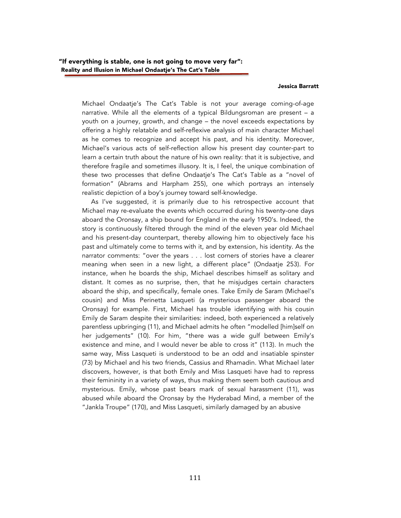## Jessica Barratt

Michael Ondaatje's The Cat's Table is not your average coming-of-age narrative. While all the elements of a typical Bildungsroman are present – a youth on a journey, growth, and change – the novel exceeds expectations by offering a highly relatable and self-reflexive analysis of main character Michael as he comes to recognize and accept his past, and his identity. Moreover, Michael's various acts of self-reflection allow his present day counter-part to learn a certain truth about the nature of his own reality: that it is subjective, and therefore fragile and sometimes illusory. It is, I feel, the unique combination of these two processes that define Ondaatje's The Cat's Table as a "novel of formation" (Abrams and Harpham 255), one which portrays an intensely realistic depiction of a boy's journey toward self-knowledge.

 As I've suggested, it is primarily due to his retrospective account that Michael may re-evaluate the events which occurred during his twenty-one days aboard the Oronsay, a ship bound for England in the early 1950's. Indeed, the story is continuously filtered through the mind of the eleven year old Michael and his present-day counterpart, thereby allowing him to objectively face his past and ultimately come to terms with it, and by extension, his identity. As the narrator comments: "over the years . . . lost corners of stories have a clearer meaning when seen in a new light, a different place" (Ondaatje 253). For instance, when he boards the ship, Michael describes himself as solitary and distant. It comes as no surprise, then, that he misjudges certain characters aboard the ship, and specifically, female ones. Take Emily de Saram (Michael's cousin) and Miss Perinetta Lasqueti (a mysterious passenger aboard the Oronsay) for example. First, Michael has trouble identifying with his cousin Emily de Saram despite their similarities: indeed, both experienced a relatively parentless upbringing (11), and Michael admits he often "modelled [him]self on her judgements" (10). For him, "there was a wide gulf between Emily's existence and mine, and I would never be able to cross it" (113). In much the same way, Miss Lasqueti is understood to be an odd and insatiable spinster (73) by Michael and his two friends, Cassius and Rhamadin. What Michael later discovers, however, is that both Emily and Miss Lasqueti have had to repress their femininity in a variety of ways, thus making them seem both cautious and mysterious. Emily, whose past bears mark of sexual harassment (11), was abused while aboard the Oronsay by the Hyderabad Mind, a member of the "Jankla Troupe" (170), and Miss Lasqueti, similarly damaged by an abusive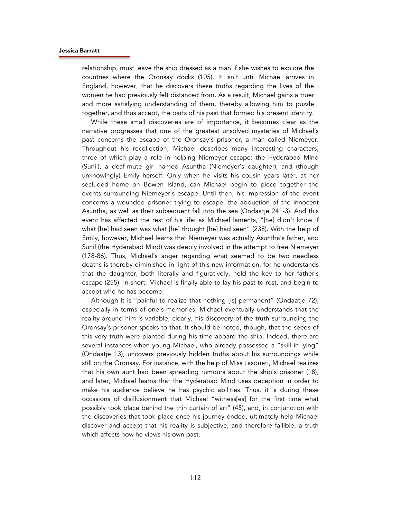## Jessica Barratt

relationship, must leave the ship dressed as a man if she wishes to explore the countries where the Oronsay docks (105). It isn't until Michael arrives in England, however, that he discovers these truths regarding the lives of the women he had previously felt distanced from. As a result, Michael gains a truer and more satisfying understanding of them, thereby allowing him to puzzle together, and thus accept, the parts of his past that formed his present identity.

 While these small discoveries are of importance, it becomes clear as the narrative progresses that one of the greatest unsolved mysteries of Michael's past concerns the escape of the Oronsay's prisoner, a man called Niemeyer. Throughout his recollection, Michael describes many interesting characters, three of which play a role in helping Niemeyer escape: the Hyderabad Mind (Sunil), a deaf-mute girl named Asuntha (Niemeyer's daughter), and (though unknowingly) Emily herself. Only when he visits his cousin years later, at her secluded home on Bowen Island, can Michael begin to piece together the events surrounding Niemeyer's escape. Until then, his impression of the event concerns a wounded prisoner trying to escape, the abduction of the innocent Asuntha, as well as their subsequent fall into the sea (Ondaatje 241-3). And this event has affected the rest of his life: as Michael laments, "[he] didn't know if what [he] had seen was what [he] thought [he] had seen" (238). With the help of Emily, however, Michael learns that Niemeyer was actually Asuntha's father, and Sunil (the Hyderabad Mind) was deeply involved in the attempt to free Niemeyer (178-86). Thus, Michael's anger regarding what seemed to be two needless deaths is thereby diminished in light of this new information, for he understands that the daughter, both literally and figuratively, held the key to her father's escape (255). In short, Michael is finally able to lay his past to rest, and begin to accept who he has become.

 Although it is "painful to realize that nothing [is] permanent" (Ondaatje 72), especially in terms of one's memories, Michael eventually understands that the reality around him is variable; clearly, his discovery of the truth surrounding the Oronsay's prisoner speaks to that. It should be noted, though, that the seeds of this very truth were planted during his time aboard the ship. Indeed, there are several instances when young Michael, who already possessed a "skill in lying" (Ondaatje 13), uncovers previously hidden truths about his surroundings while still on the Oronsay. For instance, with the help of Miss Lasqueti, Michael realizes that his own aunt had been spreading rumours about the ship's prisoner (18), and later, Michael learns that the Hyderabad Mind uses deception in order to make his audience believe he has psychic abilities. Thus, it is during these occasions of disillusionment that Michael "witness[es] for the first time what possibly took place behind the thin curtain of art" (45), and, in conjunction with the discoveries that took place once his journey ended, ultimately help Michael discover and accept that his reality is subjective, and therefore fallible, a truth which affects how he views his own past.